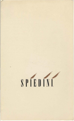# SPIEDINI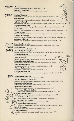| <b>MINESTRE</b><br><b>Minestrone</b><br>(fresh vegetable soup with toasted country bread) 3.50                                   |      |
|----------------------------------------------------------------------------------------------------------------------------------|------|
| Zuppa di Fave e Ceci                                                                                                             |      |
| (lima and garbanzo beans, chicken broth, pancetta) 3.25                                                                          |      |
| <b>ANTIPASTI</b><br>Insalata "Spiedini"<br>(red leaf lettuce, endive, mushrooms, celery, gruyere; lemon vinaigrette)<br>3.95     |      |
| G. Caravaggio<br>(thinly sliced raw beef rolled with celery and grana cheese; truffle oil, lemon)<br>5.95                        |      |
| Spiedini di Tortelli<br>(skewered pasta filled with zucchini, ricotta, prosciutto cotto, spinach; fresh tomato sauce)            | 5.25 |
| Insalata alla Raschera<br>(radicchio, mache, frisse, Napa goat cheese, roasted walnuts; balsamic vinaigrette) 5.95               |      |
| <b>Insalata Mista</b><br>(radicchio, arugula, watercress, endive, leeks, fennel when in season, tomato; vinaigrette) 5.50        |      |
| <b>Vitello Tonnato</b>                                                                                                           |      |
| (thin slices of spit-roasted veal; tuna sauce, extra virgin olive oil, capers, lemon) 5.95<br>Rotolino di Formaggi               |      |
| (mozzarella and gorgonzola rolled with roasted peppers, pistachios; crostini with olives) 5.75<br>Antipasto di Parma             |      |
| (tomato, fresh mozzarella, basil, prosciutto-wrapped grissini, grilled eggplant) 6.50                                            |      |
| FOCACCIA.<br><b>Focaccia alla Marcello</b><br>(thin layers of pizza dough, stracchino cheese, sun-dried tomatoes, basil) 6.95    |      |
| PIZZA&<br><b>Pizza Semplice</b>                                                                                                  |      |
| (tomato, fresh mozzarella, basil) 6.50<br>CALZONE<br>Pizza alle Quattro Stagioni                                                 |      |
| (fresh tomato sauce, mozzarella, prosciutto cotto, wild mushrooms, fresh artichoke) 8.95<br>Pizza alla Salsiccia                 |      |
| (homemade sausage, tomato, onions, mozzarella) 7.95                                                                              |      |
| Pizza ai Gamberi<br>(prawns, pancetta, tomato, mozzarella, frisse, garlic, hot peppers) 9.75                                     |      |
| Pizza ai Carciofini in Bianco<br>8.75<br>(fresh artichoke, ricotta, mozzarella, sage, extra virgin olive oil - no tomato)        |      |
| Pizza alla Soppressata<br>(large pepperoni, fresh tomato sauce, mozzarella, radicchio) 6.95                                      |      |
| 5<br>Calzone alla Panzapiena<br>(stuffed with Italian greens and cheeses, prosciutto) 9.75                                       |      |
| <b>Calzone alla Salsiccia</b><br>(stuffed with homemade sausage, ricotta, fontina, arugula, sun-dried tomatoes)<br>9.95          |      |
|                                                                                                                                  |      |
| PASTA<br><b>Conchiglie al Pomodoro</b><br>(pasta shells, fresh tomato sauce, olives, basil) 6.95                                 |      |
| <b>Trenette al Salmone Affumicato</b><br>(thin flat noodles with fresh dill, smoked salmon, shallots, creme fraiche, vodka) 9.50 |      |
| Pappardelle alla Papalina<br>(wide noodles, prosciutto, peas, cream, parmesan, basil) 7.95                                       |      |
| <b>Fettuccine alla Boscaiola</b><br>(flat noodles, porcini mushrooms, fresh tomato sauce, pancetta) 8.50                         |      |
| Gnocchi al Sugo di Gallina                                                                                                       |      |
| (potato pillows, roasted chicken, fresh tomato sauce, mascarpone, sage) 8.50<br>Capellini alla Rughetta                          |      |
| (angel hair pasta, arugula, garlic, sun-dried tomatoes, hot peppers) 8.75<br><b>Rotelle alla Pescatora</b>                       |      |
| (pasta wheels, fresh seafood, capers, olives, tomato, hot peppers) 8.75                                                          |      |
| Vermicelli alle Vongole<br>(thin spaghetti, fresh clams, fresh tomato sauce) 8.95                                                |      |
| Agnolotti d'Anitra e Funghi<br>(hat-shaped pasta filled with duck; wild mushrooms, cream, parmesan) 11.50                        |      |
| Ravioli di Gamberi                                                                                                               |      |
| (ravioli filled with shrimp; tomato, blanched garlic, basil) 10.50<br>Capellini Vegetali                                         |      |
| (angel hair pasta, fresh vegetables, vegetable stock-no oil or butter) 7.75                                                      |      |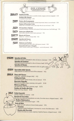|                 | Additional Items for Lunch                                                                                                                                                                                                    |
|-----------------|-------------------------------------------------------------------------------------------------------------------------------------------------------------------------------------------------------------------------------|
| INSALATE        | Insalata di Pollo<br>(chicken breast, butter lettuce, cucumber, tomato, oregano; red wine vinaigrette) 6.75<br>Insalata alla Augusto<br>(an updated Caesar salad) 5.75                                                        |
| PANINI          | Panino alla Scampagnata<br>(cold breaded veal cutlet, tomato, mustard-mayonnaise, lettuce, our own bread) 5.50<br>Panino al Prosciutto Cotto<br>(Italian ham, mozzarella, tomato, extra virgin olive oil, our own bread) 5.95 |
| PIZZA           | Al Cotechino e Spinaci<br>(cotechino sausage, mozzarella, fresh spinach, fresh tomato sauce, hard boiled egg) 7.75                                                                                                            |
| PASTA           | <b>Fettuccine al Radicchio</b><br>(flat noodles, radicchio, cream, butter, parmesan) 7.95                                                                                                                                     |
| RISOTTO         | <b>Risotto del Giorno</b><br>(Italian rice-selection changes daily) A.Q.                                                                                                                                                      |
| SPIEDINI        | Spiedini del Giorno<br>(skewer of the day) A.Q.                                                                                                                                                                               |
| PESCE           | <b>Salmone con Verdure</b><br>(charcoal-grilled fresh salmon fillet, wilted greens, tomato) 9.50<br>Guazzetto di Cozze e Vongole<br>(clams. mussels. tomato. garlic, hot peppers-served with pizzetta) 8.25                   |
| <b>SPIEDINI</b> | Spiedini di Pollo<br>(skewered chicken marinated in olive oil, lemon, rosemary)<br>9.95                                                                                                                                       |
| ×               | Spiedini di Gamberi<br>(skewered prawns marinated in olive oil, lemon, basil) 11.95<br>Spiedini di Maiale<br>(skewered pork tenderloin marinated in olive oil, garlic, sage),<br>10.50                                        |

### **SPIEDO** Specialitá dallo Spiedo (daily selection of meats and fowl off the rotisserie) A.Q.

### **GRIGLIA** Pesce del Giorno

(fresh fish - selection changes daily) A.Q. Paillard di Pollo (pounded double chicken breast, olive oil, lemon) 9.75 **Braciole d'Agnello** (Sonoma loin lamb chops, rosemary, mint, garlic) 15.50 **Bistecca di Manzo** (dry-aged New York steak, rosemary, sage) 15.75 Nodino di Vitello alle Erbe (large veal chop, thyme) 16.50

**DOLCI** Gelati Assortiti (variety of Italian ice creams) 3.50 Nuvola di Cioccolata (flourless chocolate and macadamia nut cake; chocolate sauce, whipped cream) 4.25 **Budino Diplomatico** (vanilla custard, caramelized sugar) 3.95 **Torta di Mele** (apple tart with walnuts in brown butter pastry) 3.95 Tiramisú (espresso-soaked ladyfingers, mascarpone, cocoa; chocolate sauce 4.25 **Bomba alla Nocciola** (white chocolate ice cream, espresso, hazelnut liqueur, whipped cream) 4.50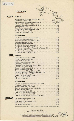$8800340$ 

# **LISTA DEI VINI**

### **BIANCHI ITALIANI**

| Pinot Grigio, Kettmeir, 1986<br>Cinqueterre, Agricultura di Riomaggiore, 1986<br>Cinqueterre, Agricultura di Riomaggiore, 1986 |
|--------------------------------------------------------------------------------------------------------------------------------|
|                                                                                                                                |
|                                                                                                                                |
|                                                                                                                                |
|                                                                                                                                |
|                                                                                                                                |
|                                                                                                                                |
|                                                                                                                                |
|                                                                                                                                |
|                                                                                                                                |

## **CALIFORNIANI**

| Chardonnay, Sonoma Cutrer, Russian River Ranches, 1985  19.00 |  |
|---------------------------------------------------------------|--|
|                                                               |  |
|                                                               |  |
|                                                               |  |

### **ROSSI ITALIANI**

座

**SPUMANTI** 

| Inferno, Valtellina Superiore, 1982  16.00                    |
|---------------------------------------------------------------|
|                                                               |
|                                                               |
|                                                               |
|                                                               |
|                                                               |
|                                                               |
| Brunello di Montalcino, La Chiesa di S. Restituta, 1981 37.00 |
|                                                               |
|                                                               |
|                                                               |
|                                                               |

# **CALIFORNIANI**

|    | Cabernet Sauvignon, Winemaster's Selection, 1984. 11.75  |  |
|----|----------------------------------------------------------|--|
|    |                                                          |  |
|    | Cabernet Sauvignon, Freemark Abbey, 1982 19.50           |  |
|    |                                                          |  |
|    |                                                          |  |
|    |                                                          |  |
|    |                                                          |  |
|    | Cabernet Sauvignon, Clos Du Bois, Briarcrest, 1983 38.00 |  |
|    |                                                          |  |
| a, |                                                          |  |
|    |                                                          |  |
|    |                                                          |  |
|    |                                                          |  |
|    |                                                          |  |

In order to offer you the best wines possible, we may occasionally substitute one vintage for another.

Direttore - John Cone Chef di Cucina - Anthony Gulisano



 $\mathbb{C}$ 

State and local taxes will be added to all food and beverages served in the dining room. Somy, no personal checks.<br>For the comfort of all, you are kindly requested to smoke cigars or pipes only in the bar. Thank You,<br>Selec